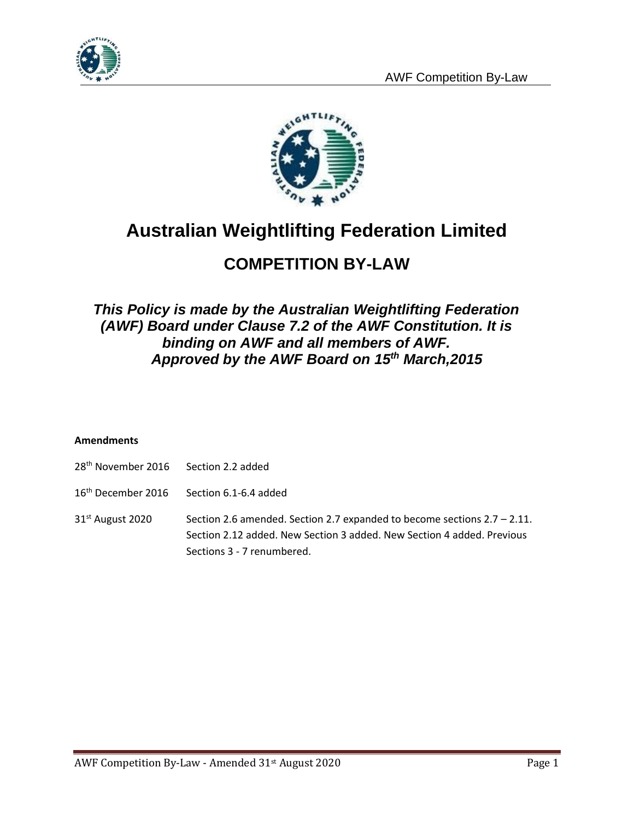



# **Australian Weightlifting Federation Limited**

## **COMPETITION BY-LAW**

### *This Policy is made by the Australian Weightlifting Federation (AWF) Board under Clause 7.2 of the AWF Constitution. It is binding on AWF and all members of AWF. Approved by the AWF Board on 15th March,2015*

#### **Amendments**

| 28 <sup>th</sup> November 2016 Section 2.2 added |                                                                                                                                                                                     |
|--------------------------------------------------|-------------------------------------------------------------------------------------------------------------------------------------------------------------------------------------|
|                                                  | 16 <sup>th</sup> December 2016 Section 6.1-6.4 added                                                                                                                                |
| 31 <sup>st</sup> August 2020                     | Section 2.6 amended. Section 2.7 expanded to become sections $2.7 - 2.11$ .<br>Section 2.12 added. New Section 3 added. New Section 4 added. Previous<br>Sections 3 - 7 renumbered. |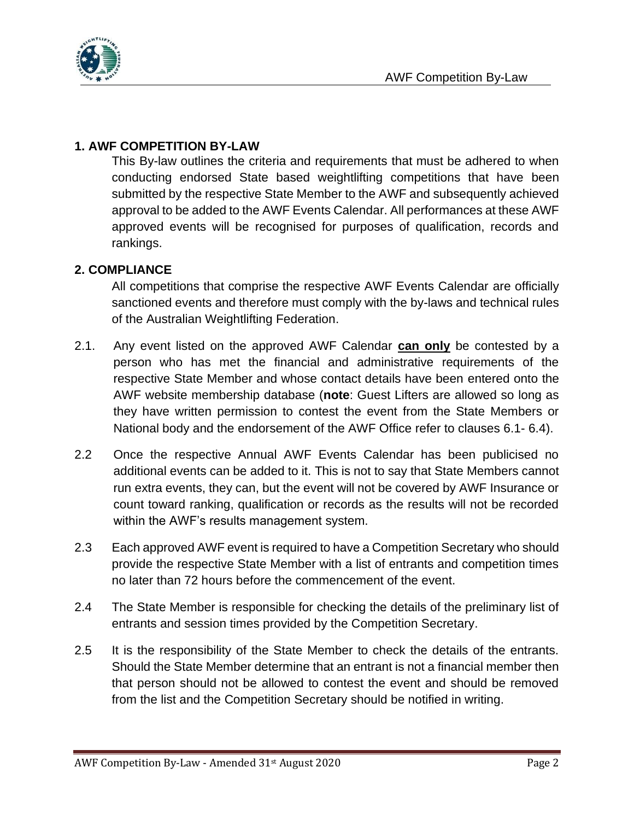

#### **1. AWF COMPETITION BY-LAW**

This By-law outlines the criteria and requirements that must be adhered to when conducting endorsed State based weightlifting competitions that have been submitted by the respective State Member to the AWF and subsequently achieved approval to be added to the AWF Events Calendar. All performances at these AWF approved events will be recognised for purposes of qualification, records and rankings.

#### **2. COMPLIANCE**

All competitions that comprise the respective AWF Events Calendar are officially sanctioned events and therefore must comply with the by-laws and technical rules of the Australian Weightlifting Federation.

- 2.1. Any event listed on the approved AWF Calendar **can only** be contested by a person who has met the financial and administrative requirements of the respective State Member and whose contact details have been entered onto the AWF website membership database (**note**: Guest Lifters are allowed so long as they have written permission to contest the event from the State Members or National body and the endorsement of the AWF Office refer to clauses 6.1- 6.4).
- 2.2 Once the respective Annual AWF Events Calendar has been publicised no additional events can be added to it. This is not to say that State Members cannot run extra events, they can, but the event will not be covered by AWF Insurance or count toward ranking, qualification or records as the results will not be recorded within the AWF's results management system.
- 2.3 Each approved AWF event is required to have a Competition Secretary who should provide the respective State Member with a list of entrants and competition times no later than 72 hours before the commencement of the event.
- 2.4 The State Member is responsible for checking the details of the preliminary list of entrants and session times provided by the Competition Secretary.
- 2.5 It is the responsibility of the State Member to check the details of the entrants. Should the State Member determine that an entrant is not a financial member then that person should not be allowed to contest the event and should be removed from the list and the Competition Secretary should be notified in writing.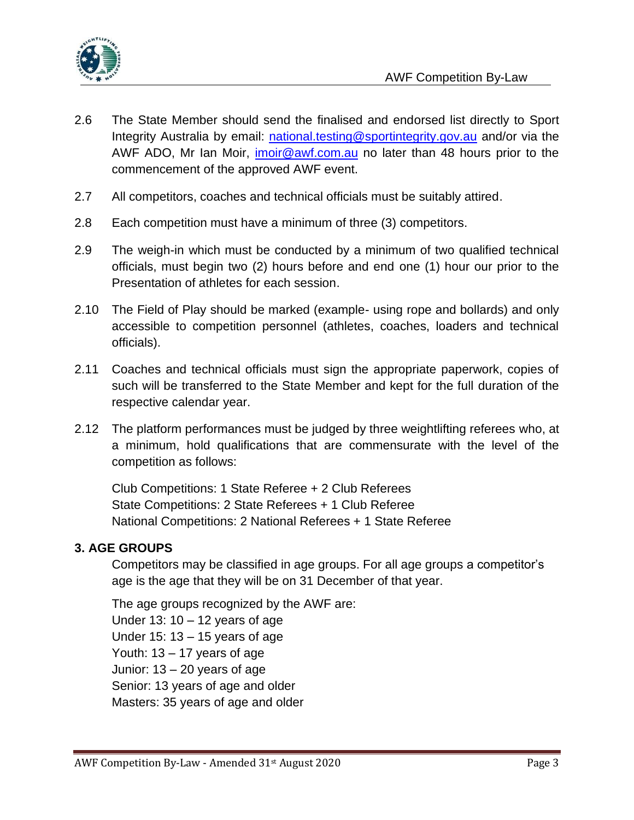

- 2.6 The State Member should send the finalised and endorsed list directly to Sport Integrity Australia by email: [national.testing@sportintegrity.gov.au](mailto:national.testing@sportintegrity.gov.au) and/or via the AWF ADO, Mr Ian Moir, [imoir@awf.com.au](mailto:imoir@awf.com.au) no later than 48 hours prior to the commencement of the approved AWF event.
- 2.7 All competitors, coaches and technical officials must be suitably attired.
- 2.8 Each competition must have a minimum of three (3) competitors.
- 2.9 The weigh-in which must be conducted by a minimum of two qualified technical officials, must begin two (2) hours before and end one (1) hour our prior to the Presentation of athletes for each session.
- 2.10 The Field of Play should be marked (example- using rope and bollards) and only accessible to competition personnel (athletes, coaches, loaders and technical officials).
- 2.11 Coaches and technical officials must sign the appropriate paperwork, copies of such will be transferred to the State Member and kept for the full duration of the respective calendar year.
- 2.12 The platform performances must be judged by three weightlifting referees who, at a minimum, hold qualifications that are commensurate with the level of the competition as follows:

Club Competitions: 1 State Referee + 2 Club Referees State Competitions: 2 State Referees + 1 Club Referee National Competitions: 2 National Referees + 1 State Referee

#### **3. AGE GROUPS**

Competitors may be classified in age groups. For all age groups a competitor's age is the age that they will be on 31 December of that year.

The age groups recognized by the AWF are: Under 13:  $10 - 12$  years of age Under 15:  $13 - 15$  years of age Youth:  $13 - 17$  years of age Junior: 13 – 20 years of age Senior: 13 years of age and older Masters: 35 years of age and older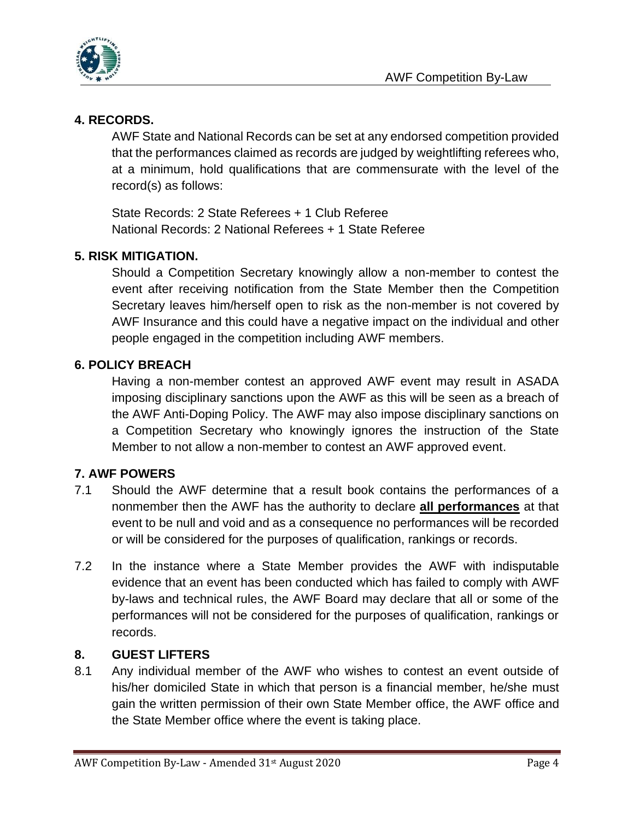

#### **4. RECORDS.**

AWF State and National Records can be set at any endorsed competition provided that the performances claimed as records are judged by weightlifting referees who, at a minimum, hold qualifications that are commensurate with the level of the record(s) as follows:

State Records: 2 State Referees + 1 Club Referee National Records: 2 National Referees + 1 State Referee

#### **5. RISK MITIGATION.**

Should a Competition Secretary knowingly allow a non-member to contest the event after receiving notification from the State Member then the Competition Secretary leaves him/herself open to risk as the non-member is not covered by AWF Insurance and this could have a negative impact on the individual and other people engaged in the competition including AWF members.

#### **6. POLICY BREACH**

Having a non-member contest an approved AWF event may result in ASADA imposing disciplinary sanctions upon the AWF as this will be seen as a breach of the AWF Anti-Doping Policy. The AWF may also impose disciplinary sanctions on a Competition Secretary who knowingly ignores the instruction of the State Member to not allow a non-member to contest an AWF approved event.

#### **7. AWF POWERS**

- 7.1 Should the AWF determine that a result book contains the performances of a nonmember then the AWF has the authority to declare **all performances** at that event to be null and void and as a consequence no performances will be recorded or will be considered for the purposes of qualification, rankings or records.
- 7.2 In the instance where a State Member provides the AWF with indisputable evidence that an event has been conducted which has failed to comply with AWF by-laws and technical rules, the AWF Board may declare that all or some of the performances will not be considered for the purposes of qualification, rankings or records.

#### **8. GUEST LIFTERS**

8.1 Any individual member of the AWF who wishes to contest an event outside of his/her domiciled State in which that person is a financial member, he/she must gain the written permission of their own State Member office, the AWF office and the State Member office where the event is taking place.